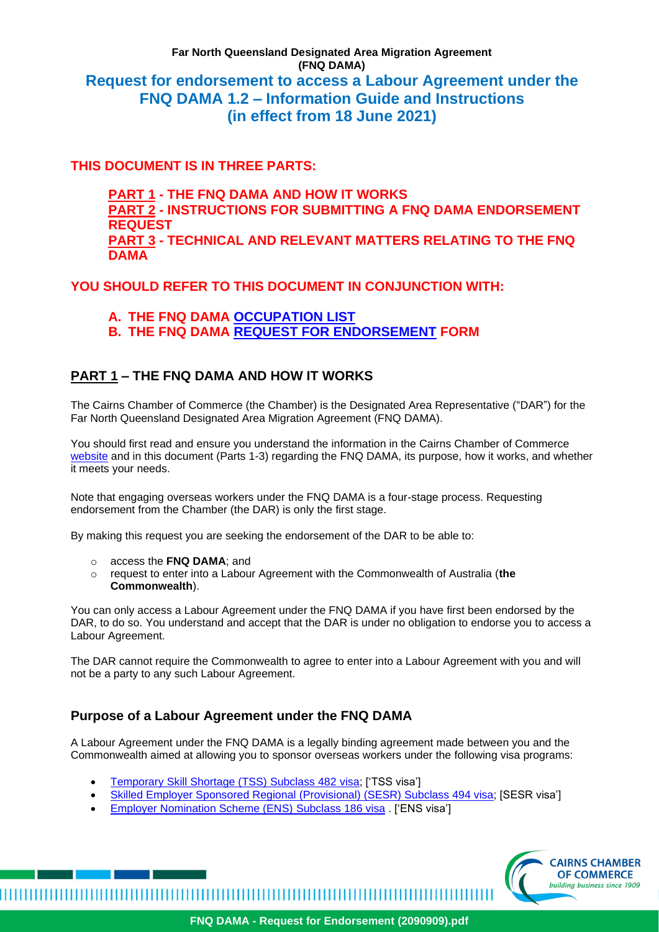# **Far North Queensland Designated Area Migration Agreement (FNQ DAMA) Request for endorsement to access a Labour Agreement under the FNQ DAMA 1.2 – Information Guide and Instructions (in effect from 18 June 2021)**

# **THIS DOCUMENT IS IN THREE PARTS:**

**PART 1 - THE FNQ DAMA AND HOW IT WORKS PART 2 - INSTRUCTIONS FOR SUBMITTING A FNQ DAMA ENDORSEMENT REQUEST PART 3 - TECHNICAL AND RELEVANT MATTERS RELATING TO THE FNQ DAMA**

## **YOU SHOULD REFER TO THIS DOCUMENT IN CONJUNCTION WITH:**

- **A. THE FNQ DAMA [OCCUPATION LIST](https://www.cairnschamber.com.au/regional-migration/fnq-dama/overview)**
- **B. THE FNQ DAMA [REQUEST FOR ENDORSEMENT](https://www.cairnschamber.com.au/regional-migration/fnq-dama/overview) FORM**

# **PART 1 – THE FNQ DAMA AND HOW IT WORKS**

The Cairns Chamber of Commerce (the Chamber) is the Designated Area Representative ("DAR") for the Far North Queensland Designated Area Migration Agreement (FNQ DAMA).

You should first read and ensure you understand the information in the Cairns Chamber of Commerce [website](https://www.cairnschamber.com.au/fnq-dama) and in this document (Parts 1-3) regarding the FNQ DAMA, its purpose, how it works, and whether it meets your needs.

Note that engaging overseas workers under the FNQ DAMA is a four-stage process. Requesting endorsement from the Chamber (the DAR) is only the first stage.

By making this request you are seeking the endorsement of the DAR to be able to:

o access the **FNQ DAMA**; and

o request to enter into a Labour Agreement with the Commonwealth of Australia (**the Commonwealth**).

You can only access a Labour Agreement under the FNQ DAMA if you have first been endorsed by the DAR, to do so. You understand and accept that the DAR is under no obligation to endorse you to access a Labour Agreement.

The DAR cannot require the Commonwealth to agree to enter into a Labour Agreement with you and will not be a party to any such Labour Agreement.

# **Purpose of a Labour Agreement under the FNQ DAMA**

A Labour Agreement under the FNQ DAMA is a legally binding agreement made between you and the Commonwealth aimed at allowing you to sponsor overseas workers under the following visa programs:

- [Temporary Skill Shortage \(TSS\) Subclass 482](https://immi.homeaffairs.gov.au/visas/getting-a-visa/visa-listing/temporary-skill-shortage-482/labour-agreement-stream) visa; ['TSS visa']
- [Skilled Employer Sponsored Regional \(Provisional\) \(SESR\) Subclass 494 visa;](https://immi.homeaffairs.gov.au/visas/getting-a-visa/visa-listing/skilled-employer-sponsored-regional-494/labour-agreement-stream) [SESR visa']
- [Employer Nomination Scheme \(ENS\)](https://cairnschamberofcommerce.sharepoint.com/sites/Internal/Shared%20Documents/General/10%20-%20MIGRATION/2%20-%20FNQ%20DAMA/DoV%20DOCUMENT%20AND%20WEB%20REVISION%20(June%202021)/Employer%20Nomination%20Scheme%20(ENS)%20Subclass%20186%20visa) Subclass 186 visa . ['ENS visa']

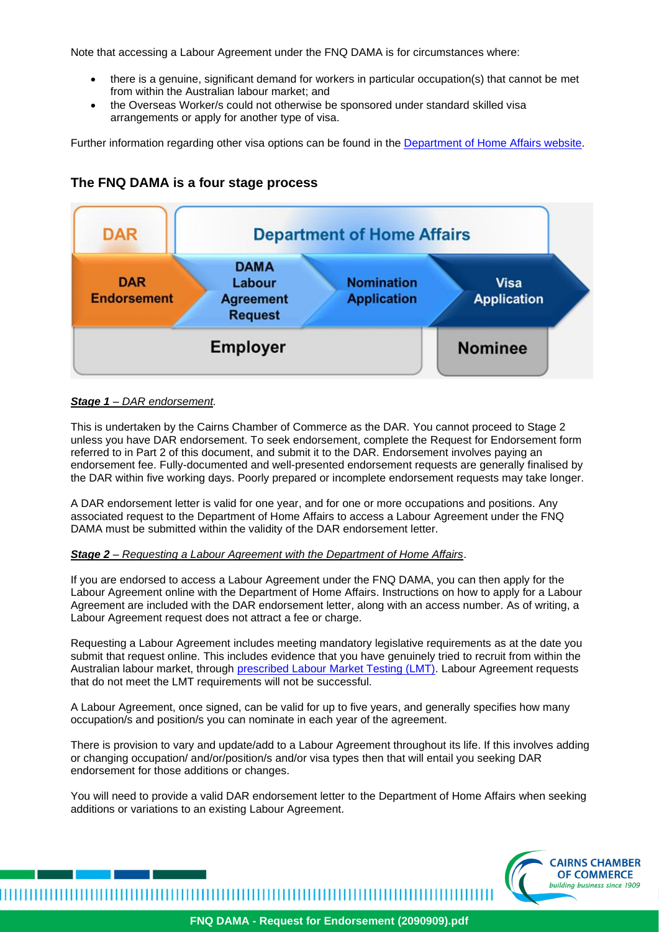Note that accessing a Labour Agreement under the FNQ DAMA is for circumstances where:

- there is a genuine, significant demand for workers in particular occupation(s) that cannot be met from within the Australian labour market; and
- the Overseas Worker/s could not otherwise be sponsored under standard skilled visa arrangements or apply for another type of visa.

Further information regarding other visa options can be found in the [Department of Home Affairs website.](https://www.homeaffairs.gov.au/)



## **The FNQ DAMA is a four stage process**

## *Stage 1 – DAR endorsement.*

This is undertaken by the Cairns Chamber of Commerce as the DAR. You cannot proceed to Stage 2 unless you have DAR endorsement. To seek endorsement, complete the Request for Endorsement form referred to in Part 2 of this document, and submit it to the DAR. Endorsement involves paying an endorsement fee. Fully-documented and well-presented endorsement requests are generally finalised by the DAR within five working days. Poorly prepared or incomplete endorsement requests may take longer.

A DAR endorsement letter is valid for one year, and for one or more occupations and positions. Any associated request to the Department of Home Affairs to access a Labour Agreement under the FNQ DAMA must be submitted within the validity of the DAR endorsement letter.

## *Stage 2 – Requesting a Labour Agreement with the Department of Home Affairs*.

If you are endorsed to access a Labour Agreement under the FNQ DAMA, you can then apply for the Labour Agreement online with the Department of Home Affairs. Instructions on how to apply for a Labour Agreement are included with the DAR endorsement letter, along with an access number. As of writing, a Labour Agreement request does not attract a fee or charge.

Requesting a Labour Agreement includes meeting mandatory legislative requirements as at the date you submit that request online. This includes evidence that you have genuinely tried to recruit from within the Australian labour market, through **prescribed Labour Market Testing (LMT)**. Labour Agreement requests that do not meet the LMT requirements will not be successful.

A Labour Agreement, once signed, can be valid for up to five years, and generally specifies how many occupation/s and position/s you can nominate in each year of the agreement.

There is provision to vary and update/add to a Labour Agreement throughout its life. If this involves adding or changing occupation/ and/or/position/s and/or visa types then that will entail you seeking DAR endorsement for those additions or changes.

You will need to provide a valid DAR endorsement letter to the Department of Home Affairs when seeking additions or variations to an existing Labour Agreement.

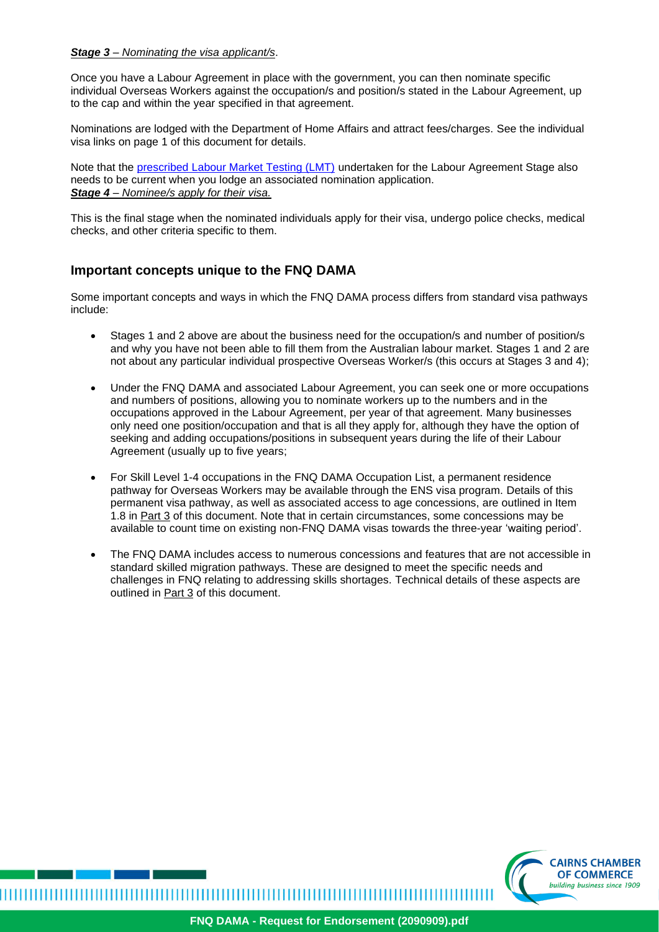#### *Stage 3 – Nominating the visa applicant/s*.

Once you have a Labour Agreement in place with the government, you can then nominate specific individual Overseas Workers against the occupation/s and position/s stated in the Labour Agreement, up to the cap and within the year specified in that agreement.

Nominations are lodged with the Department of Home Affairs and attract fees/charges. See the individual visa links on page 1 of this document for details.

Note that the [prescribed Labour Market Testing \(LMT\)](https://immi.homeaffairs.gov.au/visas/employing-and-sponsoring-someone/sponsoring-workers/nominating-a-position/labour-market-testing) undertaken for the Labour Agreement Stage also needs to be current when you lodge an associated nomination application. *Stage 4 – Nominee/s apply for their visa.*

This is the final stage when the nominated individuals apply for their visa, undergo police checks, medical checks, and other criteria specific to them.

## **Important concepts unique to the FNQ DAMA**

Some important concepts and ways in which the FNQ DAMA process differs from standard visa pathways include:

- Stages 1 and 2 above are about the business need for the occupation/s and number of position/s and why you have not been able to fill them from the Australian labour market. Stages 1 and 2 are not about any particular individual prospective Overseas Worker/s (this occurs at Stages 3 and 4);
- Under the FNQ DAMA and associated Labour Agreement, you can seek one or more occupations and numbers of positions, allowing you to nominate workers up to the numbers and in the occupations approved in the Labour Agreement, per year of that agreement. Many businesses only need one position/occupation and that is all they apply for, although they have the option of seeking and adding occupations/positions in subsequent years during the life of their Labour Agreement (usually up to five years;
- For Skill Level 1-4 occupations in the FNQ DAMA Occupation List, a permanent residence pathway for Overseas Workers may be available through the ENS visa program. Details of this permanent visa pathway, as well as associated access to age concessions, are outlined in Item 1.8 in Part 3 of this document. Note that in certain circumstances, some concessions may be available to count time on existing non-FNQ DAMA visas towards the three-year 'waiting period'.
- The FNQ DAMA includes access to numerous concessions and features that are not accessible in standard skilled migration pathways. These are designed to meet the specific needs and challenges in FNQ relating to addressing skills shortages. Technical details of these aspects are outlined in Part 3 of this document.



,,,,,,,,,,,,,,,,,,,,,,,,,,,,,,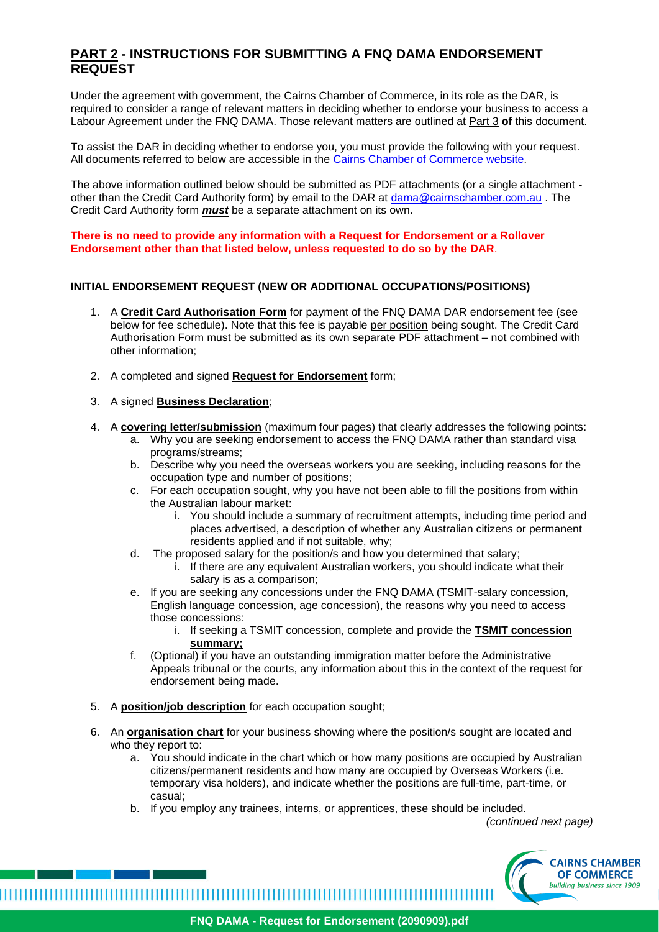## **PART 2 - INSTRUCTIONS FOR SUBMITTING A FNQ DAMA ENDORSEMENT REQUEST**

Under the agreement with government, the Cairns Chamber of Commerce, in its role as the DAR, is required to consider a range of relevant matters in deciding whether to endorse your business to access a Labour Agreement under the FNQ DAMA. Those relevant matters are outlined at Part 3 **of** this document.

To assist the DAR in deciding whether to endorse you, you must provide the following with your request. All documents referred to below are accessible in the Cairns [Chamber of Commerce website.](https://www.cairnschamber.com.au/regional-migration/fnq-dama/overview)

The above information outlined below should be submitted as PDF attachments (or a single attachment other than the Credit Card Authority form) by email to the DAR at [dama@cairnschamber.com.au](mailto:dama@cairnschamber.com.au). The Credit Card Authority form *must* be a separate attachment on its own.

**There is no need to provide any information with a Request for Endorsement or a Rollover Endorsement other than that listed below, unless requested to do so by the DAR**.

## **INITIAL ENDORSEMENT REQUEST (NEW OR ADDITIONAL OCCUPATIONS/POSITIONS)**

- 1. A **Credit Card Authorisation Form** for payment of the FNQ DAMA DAR endorsement fee (see below for fee schedule). Note that this fee is payable per position being sought. The Credit Card Authorisation Form must be submitted as its own separate PDF attachment – not combined with other information;
- 2. A completed and signed **Request for Endorsement** form;

#### 3. A signed **Business Declaration**;

- 4. A **covering letter/submission** (maximum four pages) that clearly addresses the following points:
	- a. Why you are seeking endorsement to access the FNQ DAMA rather than standard visa programs/streams;
	- b. Describe why you need the overseas workers you are seeking, including reasons for the occupation type and number of positions;
	- c. For each occupation sought, why you have not been able to fill the positions from within the Australian labour market:
		- i. You should include a summary of recruitment attempts, including time period and places advertised, a description of whether any Australian citizens or permanent residents applied and if not suitable, why;
	- d. The proposed salary for the position/s and how you determined that salary;
		- i. If there are any equivalent Australian workers, you should indicate what their salary is as a comparison;
	- e. If you are seeking any concessions under the FNQ DAMA (TSMIT-salary concession, English language concession, age concession), the reasons why you need to access those concessions:
		- i. If seeking a TSMIT concession, complete and provide the **TSMIT concession summary;**
	- f. (Optional) if you have an outstanding immigration matter before the Administrative Appeals tribunal or the courts, any information about this in the context of the request for endorsement being made.
- 5. A **position/job description** for each occupation sought;
- 6. An **organisation chart** for your business showing where the position/s sought are located and who they report to:
	- a. You should indicate in the chart which or how many positions are occupied by Australian citizens/permanent residents and how many are occupied by Overseas Workers (i.e. temporary visa holders), and indicate whether the positions are full-time, part-time, or casual;
	- b. If you employ any trainees, interns, or apprentices, these should be included.

*(continued next page)*

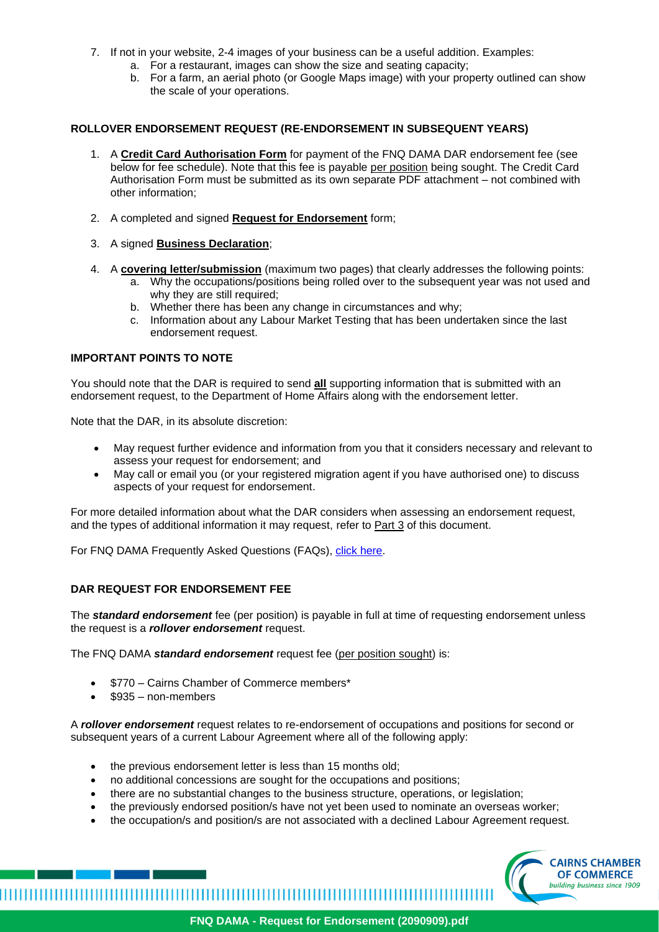- 7. If not in your website, 2-4 images of your business can be a useful addition. Examples:
	- a. For a restaurant, images can show the size and seating capacity;
	- b. For a farm, an aerial photo (or Google Maps image) with your property outlined can show the scale of your operations.

#### **ROLLOVER ENDORSEMENT REQUEST (RE-ENDORSEMENT IN SUBSEQUENT YEARS)**

- 1. A **Credit Card Authorisation Form** for payment of the FNQ DAMA DAR endorsement fee (see below for fee schedule). Note that this fee is payable per position being sought. The Credit Card Authorisation Form must be submitted as its own separate PDF attachment – not combined with other information;
- 2. A completed and signed **Request for Endorsement** form;
- 3. A signed **Business Declaration**;
- 4. A **covering letter/submission** (maximum two pages) that clearly addresses the following points:
	- a. Why the occupations/positions being rolled over to the subsequent year was not used and why they are still required;
		- b. Whether there has been any change in circumstances and why;
		- c. Information about any Labour Market Testing that has been undertaken since the last endorsement request.

#### **IMPORTANT POINTS TO NOTE**

You should note that the DAR is required to send **all** supporting information that is submitted with an endorsement request, to the Department of Home Affairs along with the endorsement letter.

Note that the DAR, in its absolute discretion:

- May request further evidence and information from you that it considers necessary and relevant to assess your request for endorsement; and
- May call or email you (or your registered migration agent if you have authorised one) to discuss aspects of your request for endorsement.

For more detailed information about what the DAR considers when assessing an endorsement request, and the types of additional information it may request, refer to Part 3 of this document.

For FNQ DAMA Frequently Asked Questions (FAQs), [click here.](https://www.cairnschamber.com.au/fnq-dama-2/faqs)

## **DAR REQUEST FOR ENDORSEMENT FEE**

The *standard endorsement* fee (per position) is payable in full at time of requesting endorsement unless the request is a *rollover endorsement* request.

The FNQ DAMA *standard endorsement* request fee (per position sought) is:

• \$770 – Cairns Chamber of Commerce members\*

• \$935 – non-members

A *rollover endorsement* request relates to re-endorsement of occupations and positions for second or subsequent years of a current Labour Agreement where all of the following apply:

- the previous endorsement letter is less than 15 months old;
- no additional concessions are sought for the occupations and positions;
- there are no substantial changes to the business structure, operations, or legislation;
- the previously endorsed position/s have not yet been used to nominate an overseas worker;
- the occupation/s and position/s are not associated with a declined Labour Agreement request.

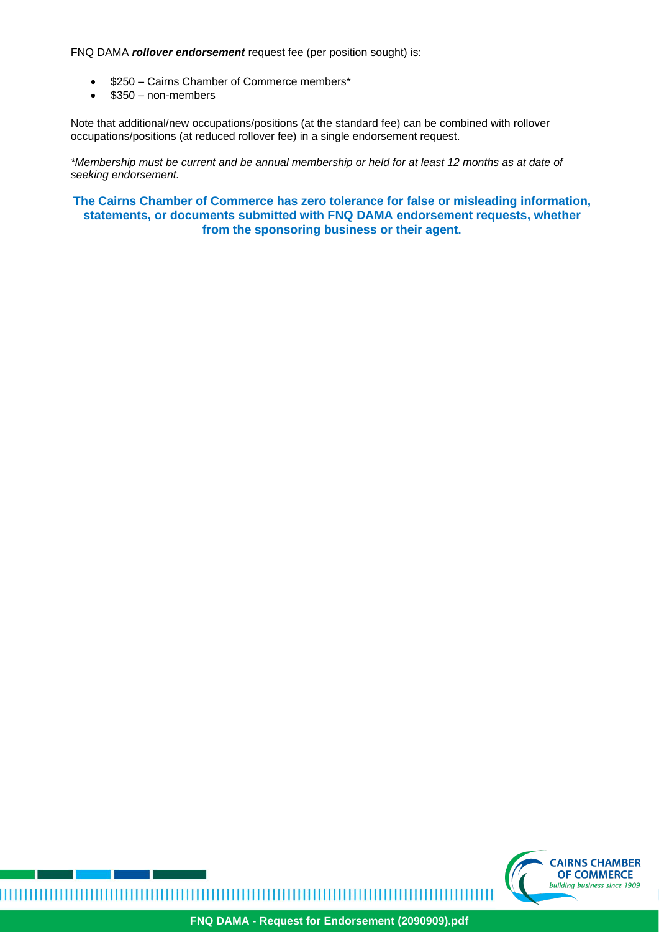FNQ DAMA *rollover endorsement* request fee (per position sought) is:

- \$250 Cairns Chamber of Commerce members\*
- \$350 non-members

Note that additional/new occupations/positions (at the standard fee) can be combined with rollover occupations/positions (at reduced rollover fee) in a single endorsement request.

*\*Membership must be current and be annual membership or held for at least 12 months as at date of seeking endorsement.*

**The Cairns Chamber of Commerce has zero tolerance for false or misleading information, statements, or documents submitted with FNQ DAMA endorsement requests, whether from the sponsoring business or their agent.**



,,,,,,,,,,,,,,,,,,,,,,,,,,,,,,,,,,,

ШТ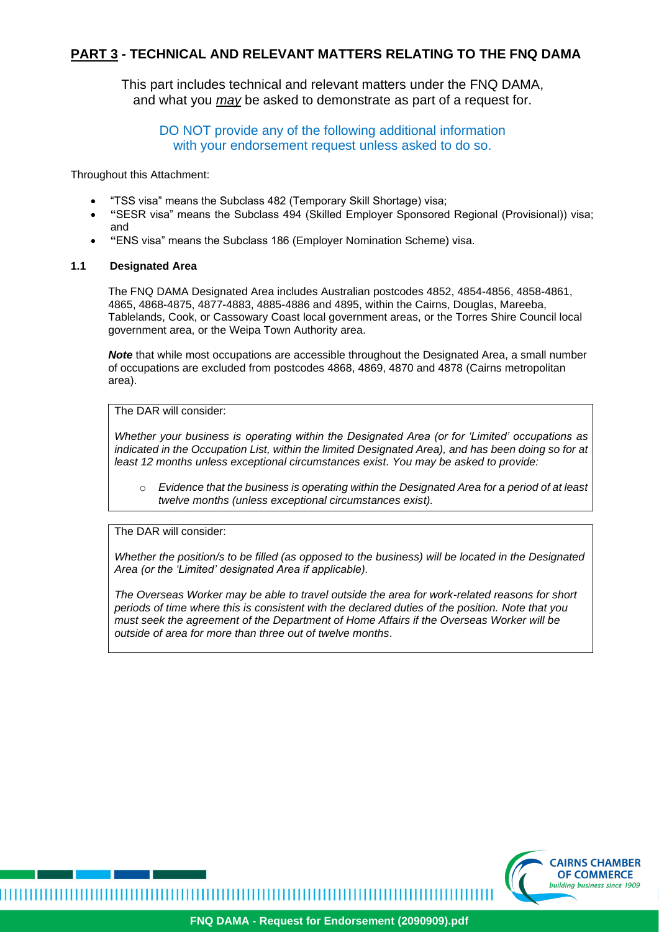# **PART 3 - TECHNICAL AND RELEVANT MATTERS RELATING TO THE FNQ DAMA**

This part includes technical and relevant matters under the FNQ DAMA, and what you *may* be asked to demonstrate as part of a request for.

DO NOT provide any of the following additional information with your endorsement request unless asked to do so.

Throughout this Attachment:

- "TSS visa" means the Subclass 482 (Temporary Skill Shortage) visa;
- **"**SESR visa" means the Subclass 494 (Skilled Employer Sponsored Regional (Provisional)) visa; and
- **"**ENS visa" means the Subclass 186 (Employer Nomination Scheme) visa.

#### **1.1 Designated Area**

The FNQ DAMA Designated Area includes Australian postcodes 4852, 4854-4856, 4858-4861, 4865, 4868-4875, 4877-4883, 4885-4886 and 4895, within the Cairns, Douglas, Mareeba, Tablelands, Cook, or Cassowary Coast local government areas, or the Torres Shire Council local government area, or the Weipa Town Authority area.

*Note* that while most occupations are accessible throughout the Designated Area, a small number of occupations are excluded from postcodes 4868, 4869, 4870 and 4878 (Cairns metropolitan area).

## The DAR will consider:

*Whether your business is operating within the Designated Area (or for 'Limited' occupations as indicated in the Occupation List, within the limited Designated Area), and has been doing so for at least 12 months unless exceptional circumstances exist. You may be asked to provide:*

o *Evidence that the business is operating within the Designated Area for a period of at least twelve months (unless exceptional circumstances exist).*

## The DAR will consider:

*Whether the position/s to be filled (as opposed to the business) will be located in the Designated Area (or the 'Limited' designated Area if applicable).* 

*The Overseas Worker may be able to travel outside the area for work-related reasons for short periods of time where this is consistent with the declared duties of the position. Note that you must seek the agreement of the Department of Home Affairs if the Overseas Worker will be outside of area for more than three out of twelve months*.

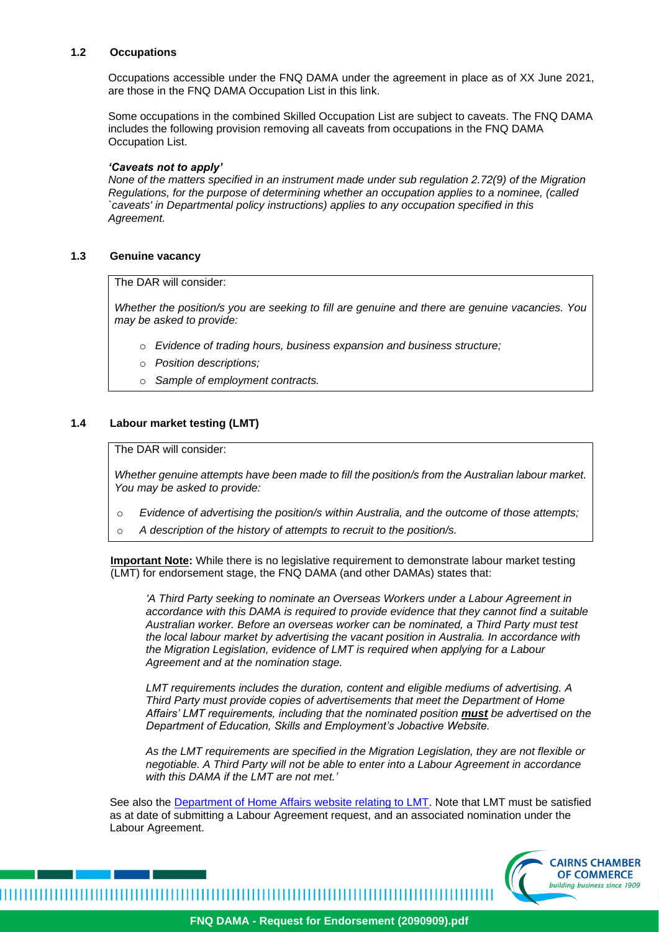#### **1.2 Occupations**

Occupations accessible under the FNQ DAMA under the agreement in place as of XX June 2021, are those in the FNQ DAMA Occupation List in this link.

Some occupations in the combined Skilled Occupation List are subject to caveats. The FNQ DAMA includes the following provision removing all caveats from occupations in the FNQ DAMA Occupation List.

#### *'Caveats not to apply'*

*None of the matters specified in an instrument made under sub regulation 2.72(9) of the Migration Regulations, for the purpose of determining whether an occupation applies to a nominee, (called `caveats' in Departmental policy instructions) applies to any occupation specified in this Agreement.*

#### **1.3 Genuine vacancy**

The DAR will consider:

*Whether the position/s you are seeking to fill are genuine and there are genuine vacancies. You may be asked to provide:*

- o *Evidence of trading hours, business expansion and business structure;*
- o *Position descriptions;*
- o *Sample of employment contracts.*

#### **1.4 Labour market testing (LMT)**

The DAR will consider:

*Whether genuine attempts have been made to fill the position/s from the Australian labour market. You may be asked to provide:* 

- o *Evidence of advertising the position/s within Australia, and the outcome of those attempts;*
- o *A description of the history of attempts to recruit to the position/s.*

**Important Note:** While there is no legislative requirement to demonstrate labour market testing (LMT) for endorsement stage, the FNQ DAMA (and other DAMAs) states that:

*'A Third Party seeking to nominate an Overseas Workers under a Labour Agreement in accordance with this DAMA is required to provide evidence that they cannot find a suitable Australian worker. Before an overseas worker can be nominated, a Third Party must test the local labour market by advertising the vacant position in Australia. In accordance with the Migration Legislation, evidence of LMT is required when applying for a Labour Agreement and at the nomination stage.*

*LMT requirements includes the duration, content and eligible mediums of advertising. A Third Party must provide copies of advertisements that meet the Department of Home Affairs' LMT requirements, including that the nominated position must be advertised on the Department of Education, Skills and Employment's Jobactive Website.*

*As the LMT requirements are specified in the Migration Legislation, they are not flexible or negotiable. A Third Party will not be able to enter into a Labour Agreement in accordance with this DAMA if the LMT are not met.'*

See also the [Department of Home Affairs website relating to LMT.](https://immi.homeaffairs.gov.au/visas/employing-and-sponsoring-someone/sponsoring-workers/nominating-a-position/labour-market-testing) Note that LMT must be satisfied as at date of submitting a Labour Agreement request, and an associated nomination under the Labour Agreement.

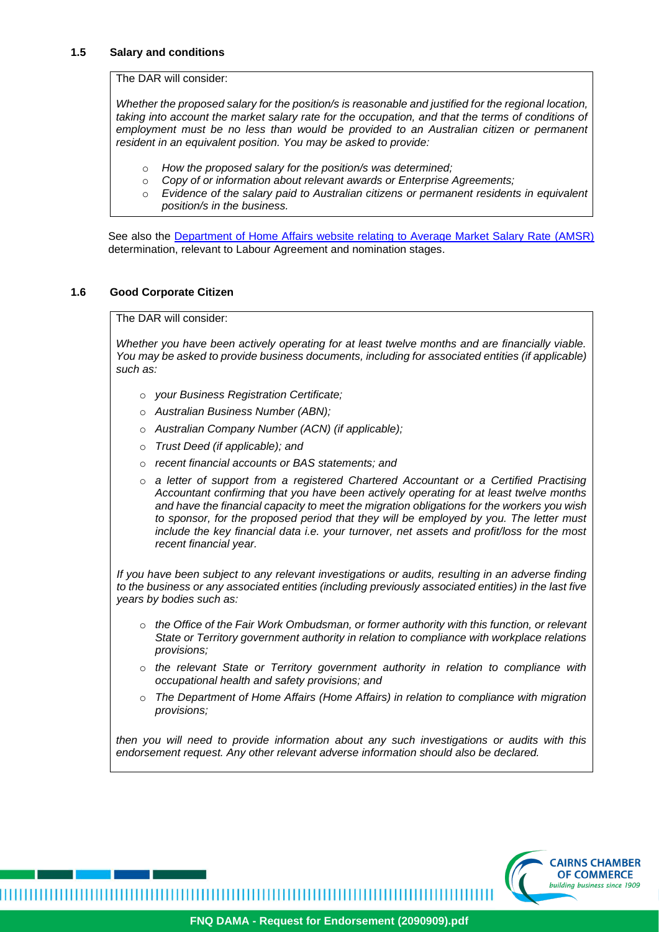## **1.5 Salary and conditions**

The DAR will consider:

*Whether the proposed salary for the position/s is reasonable and justified for the regional location,*  taking into account the market salary rate for the occupation, and that the terms of conditions of *employment must be no less than would be provided to an Australian citizen or permanent resident in an equivalent position. You may be asked to provide:*

- o *How the proposed salary for the position/s was determined;*
- o *Copy of or information about relevant awards or Enterprise Agreements;*
- o *Evidence of the salary paid to Australian citizens or permanent residents in equivalent position/s in the business.*

See also the [Department of Home Affairs website relating to Average Market Salary Rate](https://immi.homeaffairs.gov.au/visas/employing-and-sponsoring-someone/sponsoring-workers/nominating-a-position/salary-requirements) (AMSR) determination, relevant to Labour Agreement and nomination stages.

## **1.6 Good Corporate Citizen**

The DAR will consider:

*Whether you have been actively operating for at least twelve months and are financially viable. You may be asked to provide business documents, including for associated entities (if applicable) such as:*

- o *your Business Registration Certificate;*
- o *Australian Business Number (ABN);*
- o *Australian Company Number (ACN) (if applicable);*
- o *Trust Deed (if applicable); and*

,,,,,,,,,,,,,,,,,,,,,,,,,,

- o *recent financial accounts or BAS statements; and*
- o *a letter of support from a registered Chartered Accountant or a Certified Practising Accountant confirming that you have been actively operating for at least twelve months and have the financial capacity to meet the migration obligations for the workers you wish to sponsor, for the proposed period that they will be employed by you. The letter must include the key financial data i.e. your turnover, net assets and profit/loss for the most recent financial year.*

*If you have been subject to any relevant investigations or audits, resulting in an adverse finding to the business or any associated entities (including previously associated entities) in the last five years by bodies such as:*

- o *the Office of the Fair Work Ombudsman, or former authority with this function, or relevant State or Territory government authority in relation to compliance with workplace relations provisions;*
- o *the relevant State or Territory government authority in relation to compliance with occupational health and safety provisions; and*
- o *The Department of Home Affairs (Home Affairs) in relation to compliance with migration provisions;*

*then you will need to provide information about any such investigations or audits with this endorsement request. Any other relevant adverse information should also be declared.*

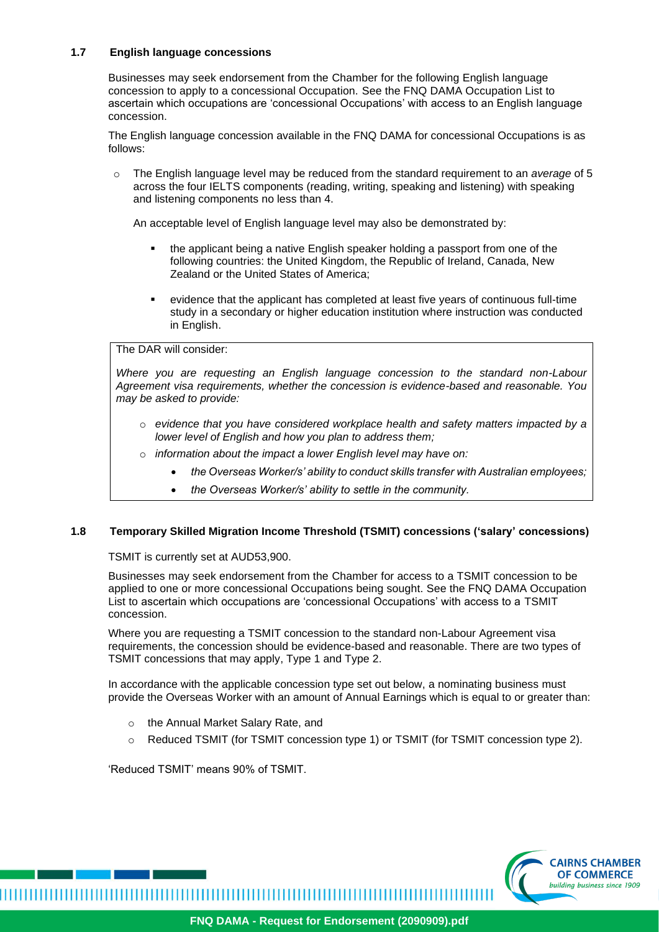## **1.7 English language concessions**

Businesses may seek endorsement from the Chamber for the following English language concession to apply to a concessional Occupation. See the FNQ DAMA Occupation List to ascertain which occupations are 'concessional Occupations' with access to an English language concession.

The English language concession available in the FNQ DAMA for concessional Occupations is as follows:

o The English language level may be reduced from the standard requirement to an *average* of 5 across the four IELTS components (reading, writing, speaking and listening) with speaking and listening components no less than 4.

An acceptable level of English language level may also be demonstrated by:

- the applicant being a native English speaker holding a passport from one of the following countries: the United Kingdom, the Republic of Ireland, Canada, New Zealand or the United States of America;
- evidence that the applicant has completed at least five years of continuous full-time study in a secondary or higher education institution where instruction was conducted in English.

## The DAR will consider:

*Where you are requesting an English language concession to the standard non-Labour Agreement visa requirements, whether the concession is evidence-based and reasonable. You may be asked to provide:*

- o *evidence that you have considered workplace health and safety matters impacted by a lower level of English and how you plan to address them;*
- o *information about the impact a lower English level may have on:*
	- *the Overseas Worker/s' ability to conduct skills transfer with Australian employees;*
	- *the Overseas Worker/s' ability to settle in the community.*

## **1.8 Temporary Skilled Migration Income Threshold (TSMIT) concessions ('salary' concessions)**

TSMIT is currently set at AUD53,900.

Businesses may seek endorsement from the Chamber for access to a TSMIT concession to be applied to one or more concessional Occupations being sought. See the FNQ DAMA Occupation List to ascertain which occupations are 'concessional Occupations' with access to a TSMIT concession.

Where you are requesting a TSMIT concession to the standard non-Labour Agreement visa requirements, the concession should be evidence-based and reasonable. There are two types of TSMIT concessions that may apply, Type 1 and Type 2.

In accordance with the applicable concession type set out below, a nominating business must provide the Overseas Worker with an amount of Annual Earnings which is equal to or greater than:

- o the Annual Market Salary Rate, and
- o Reduced TSMIT (for TSMIT concession type 1) or TSMIT (for TSMIT concession type 2).

'Reduced TSMIT' means 90% of TSMIT.

,,,,,,,,,,,,,,,,,,,,,,,,,,,,,,,,,,,,,,

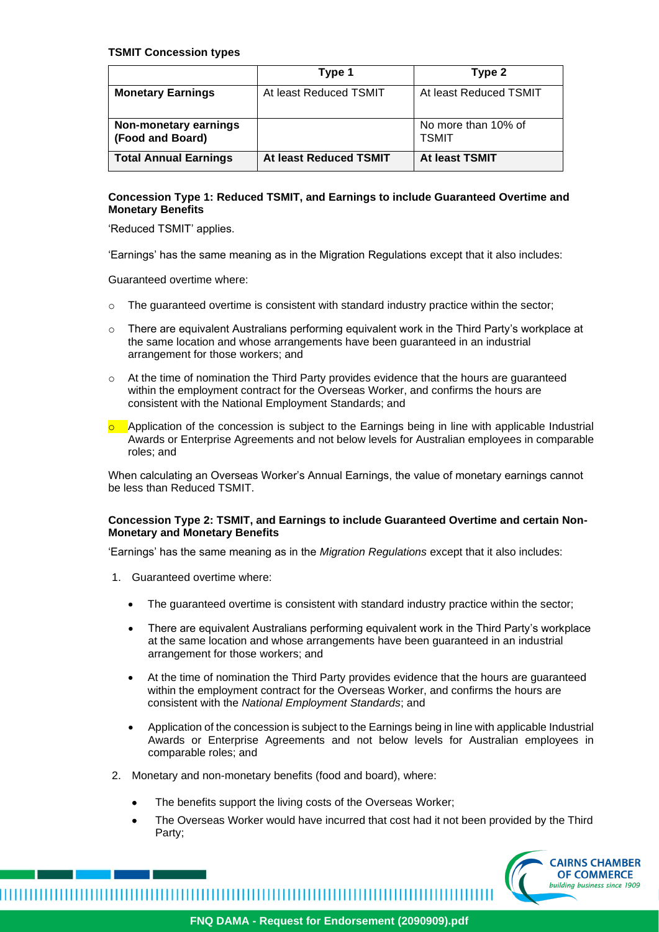#### **TSMIT Concession types**

|                                           | Type 1                 | Type 2                              |
|-------------------------------------------|------------------------|-------------------------------------|
| <b>Monetary Earnings</b>                  | At least Reduced TSMIT | At least Reduced TSMIT              |
| Non-monetary earnings<br>(Food and Board) |                        | No more than 10% of<br><b>TSMIT</b> |
| <b>Total Annual Earnings</b>              | At least Reduced TSMIT | At least TSMIT                      |

#### **Concession Type 1: Reduced TSMIT, and Earnings to include Guaranteed Overtime and Monetary Benefits**

'Reduced TSMIT' applies.

'Earnings' has the same meaning as in the Migration Regulations except that it also includes:

Guaranteed overtime where:

- $\circ$  The guaranteed overtime is consistent with standard industry practice within the sector;
- $\circ$  There are equivalent Australians performing equivalent work in the Third Party's workplace at the same location and whose arrangements have been guaranteed in an industrial arrangement for those workers; and
- $\circ$  At the time of nomination the Third Party provides evidence that the hours are guaranteed within the employment contract for the Overseas Worker, and confirms the hours are consistent with the National Employment Standards; and
- $\circ$  Application of the concession is subject to the Earnings being in line with applicable Industrial Awards or Enterprise Agreements and not below levels for Australian employees in comparable roles; and

When calculating an Overseas Worker's Annual Earnings, the value of monetary earnings cannot be less than Reduced TSMIT.

## **Concession Type 2: TSMIT, and Earnings to include Guaranteed Overtime and certain Non-Monetary and Monetary Benefits**

'Earnings' has the same meaning as in the *Migration Regulations* except that it also includes:

- 1. Guaranteed overtime where:
	- The quaranteed overtime is consistent with standard industry practice within the sector;
	- There are equivalent Australians performing equivalent work in the Third Party's workplace at the same location and whose arrangements have been guaranteed in an industrial arrangement for those workers; and
	- At the time of nomination the Third Party provides evidence that the hours are guaranteed within the employment contract for the Overseas Worker, and confirms the hours are consistent with the *National Employment Standards*; and
	- Application of the concession is subject to the Earnings being in line with applicable Industrial Awards or Enterprise Agreements and not below levels for Australian employees in comparable roles; and
- 2. Monetary and non-monetary benefits (food and board), where:

- The benefits support the living costs of the Overseas Worker;
- The Overseas Worker would have incurred that cost had it not been provided by the Third Party;

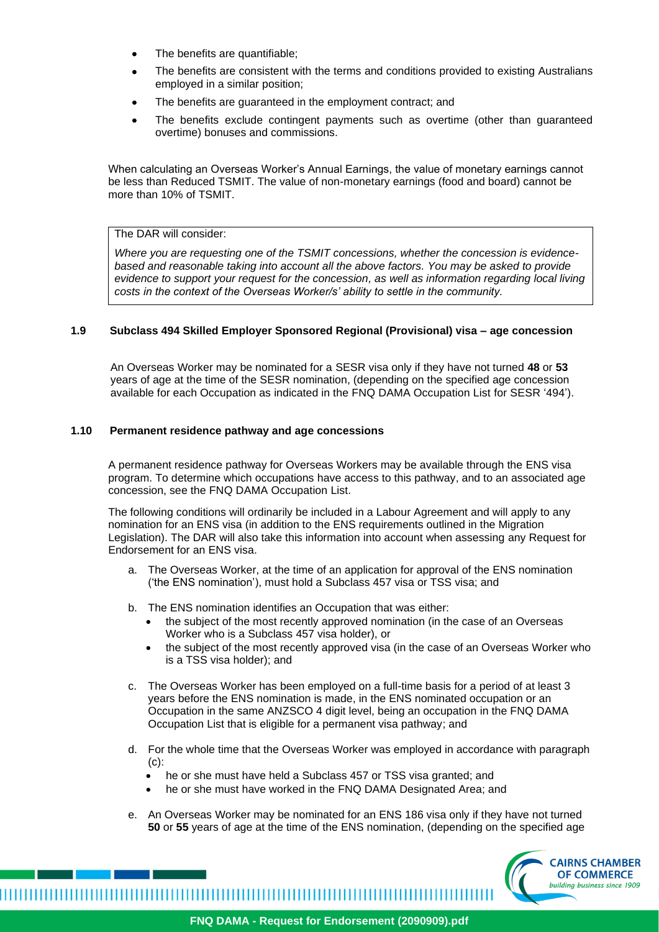- The benefits are quantifiable;
- The benefits are consistent with the terms and conditions provided to existing Australians employed in a similar position;
- The benefits are guaranteed in the employment contract; and
- The benefits exclude contingent payments such as overtime (other than guaranteed overtime) bonuses and commissions.

When calculating an Overseas Worker's Annual Earnings, the value of monetary earnings cannot be less than Reduced TSMIT. The value of non-monetary earnings (food and board) cannot be more than 10% of TSMIT.

## The DAR will consider:

*Where you are requesting one of the TSMIT concessions, whether the concession is evidencebased and reasonable taking into account all the above factors. You may be asked to provide evidence to support your request for the concession, as well as information regarding local living costs in the context of the Overseas Worker/s' ability to settle in the community.*

#### **1.9 Subclass 494 Skilled Employer Sponsored Regional (Provisional) visa – age concession**

An Overseas Worker may be nominated for a SESR visa only if they have not turned **48** or **53** years of age at the time of the SESR nomination, (depending on the specified age concession available for each Occupation as indicated in the FNQ DAMA Occupation List for SESR '494').

#### **1.10 Permanent residence pathway and age concessions**

A permanent residence pathway for Overseas Workers may be available through the ENS visa program. To determine which occupations have access to this pathway, and to an associated age concession, see the FNQ DAMA Occupation List.

The following conditions will ordinarily be included in a Labour Agreement and will apply to any nomination for an ENS visa (in addition to the ENS requirements outlined in the Migration Legislation). The DAR will also take this information into account when assessing any Request for Endorsement for an ENS visa.

- a. The Overseas Worker, at the time of an application for approval of the ENS nomination ('the ENS nomination'), must hold a Subclass 457 visa or TSS visa; and
- b. The ENS nomination identifies an Occupation that was either:
	- the subject of the most recently approved nomination (in the case of an Overseas Worker who is a Subclass 457 visa holder), or
	- the subject of the most recently approved visa (in the case of an Overseas Worker who is a TSS visa holder); and
- c. The Overseas Worker has been employed on a full-time basis for a period of at least 3 years before the ENS nomination is made, in the ENS nominated occupation or an Occupation in the same ANZSCO 4 digit level, being an occupation in the FNQ DAMA Occupation List that is eligible for a permanent visa pathway; and
- d. For the whole time that the Overseas Worker was employed in accordance with paragraph (c):
	- he or she must have held a Subclass 457 or TSS visa granted; and
	- he or she must have worked in the FNQ DAMA Designated Area; and
- e. An Overseas Worker may be nominated for an ENS 186 visa only if they have not turned **50** or **55** years of age at the time of the ENS nomination, (depending on the specified age



**FNQ DAMA - Request for Endorsement (2090909).pdf**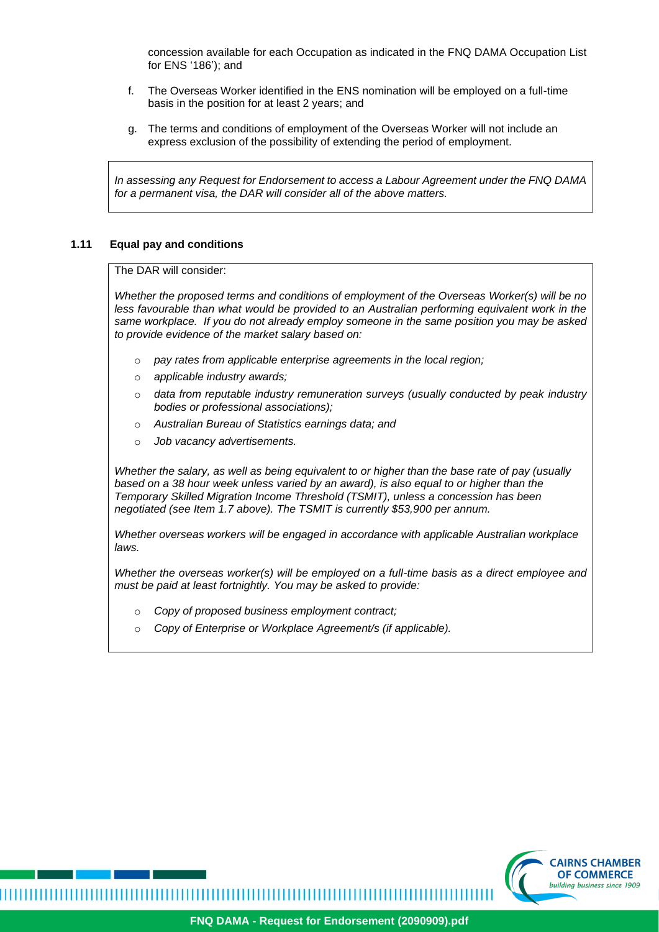concession available for each Occupation as indicated in the FNQ DAMA Occupation List for ENS '186'); and

- f. The Overseas Worker identified in the ENS nomination will be employed on a full-time basis in the position for at least 2 years; and
- g. The terms and conditions of employment of the Overseas Worker will not include an express exclusion of the possibility of extending the period of employment.

*In assessing any Request for Endorsement to access a Labour Agreement under the FNQ DAMA for a permanent visa, the DAR will consider all of the above matters.*

#### **1.11 Equal pay and conditions**

The DAR will consider:

*Whether the proposed terms and conditions of employment of the Overseas Worker(s) will be no*  less favourable than what would be provided to an Australian performing equivalent work in the *same workplace. If you do not already employ someone in the same position you may be asked to provide evidence of the market salary based on:* 

- o *pay rates from applicable enterprise agreements in the local region;*
- o *applicable industry awards;*
- o *data from reputable industry remuneration surveys (usually conducted by peak industry bodies or professional associations);*
- o *Australian Bureau of Statistics earnings data; and*
- o *Job vacancy advertisements.*

*Whether the salary, as well as being equivalent to or higher than the base rate of pay (usually based on a 38 hour week unless varied by an award), is also equal to or higher than the Temporary Skilled Migration Income Threshold (TSMIT), unless a concession has been negotiated (see Item 1.7 above). The TSMIT is currently \$53,900 per annum.*

*Whether overseas workers will be engaged in accordance with applicable Australian workplace laws.*

*Whether the overseas worker(s) will be employed on a full-time basis as a direct employee and must be paid at least fortnightly. You may be asked to provide:* 

- o *Copy of proposed business employment contract;*
- o *Copy of Enterprise or Workplace Agreement/s (if applicable).*

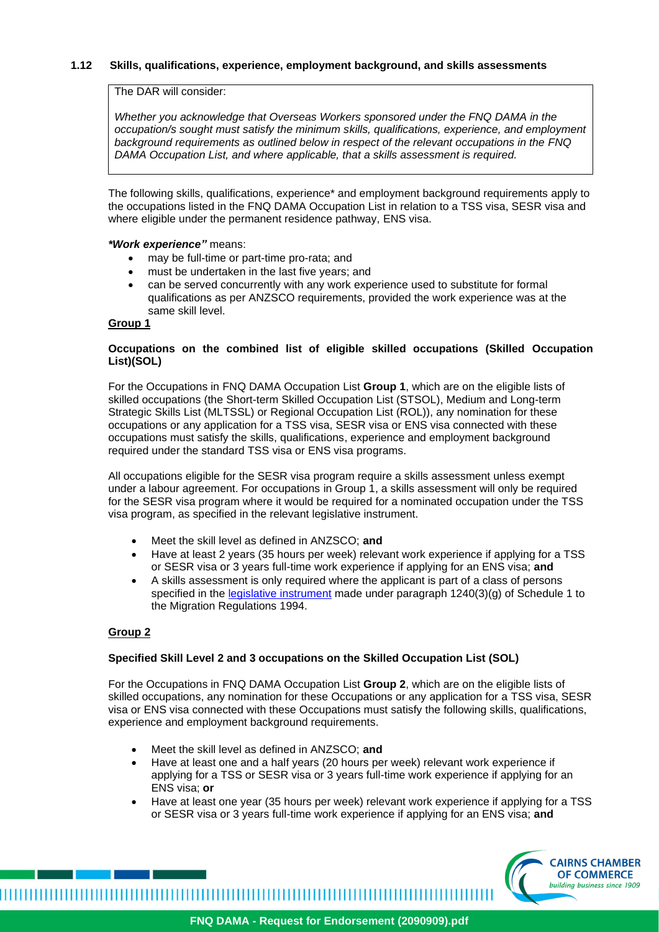## **1.12 Skills, qualifications, experience, employment background, and skills assessments**

The DAR will consider:

*Whether you acknowledge that Overseas Workers sponsored under the FNQ DAMA in the occupation/s sought must satisfy the minimum skills, qualifications, experience, and employment background requirements as outlined below in respect of the relevant occupations in the FNQ DAMA Occupation List, and where applicable, that a skills assessment is required.* 

The following skills, qualifications, experience\* and employment background requirements apply to the occupations listed in the FNQ DAMA Occupation List in relation to a TSS visa, SESR visa and where eligible under the permanent residence pathway, ENS visa.

#### *\*Work experience"* means:

- may be full-time or part-time pro-rata; and
- must be undertaken in the last five years; and
- can be served concurrently with any work experience used to substitute for formal qualifications as per ANZSCO requirements, provided the work experience was at the same skill level.

#### **Group 1**

#### **Occupations on the combined list of eligible skilled occupations (Skilled Occupation List)(SOL)**

For the Occupations in FNQ DAMA Occupation List **Group 1**, which are on the eligible lists of skilled occupations (the Short-term Skilled Occupation List (STSOL), Medium and Long-term Strategic Skills List (MLTSSL) or Regional Occupation List (ROL)), any nomination for these occupations or any application for a TSS visa, SESR visa or ENS visa connected with these occupations must satisfy the skills, qualifications, experience and employment background required under the standard TSS visa or ENS visa programs.

All occupations eligible for the SESR visa program require a skills assessment unless exempt under a labour agreement. For occupations in Group 1, a skills assessment will only be required for the SESR visa program where it would be required for a nominated occupation under the TSS visa program, as specified in the relevant legislative instrument.

- Meet the skill level as defined in ANZSCO; **and**
- Have at least 2 years (35 hours per week) relevant work experience if applying for a TSS or SESR visa or 3 years full-time work experience if applying for an ENS visa; **and**
- A skills assessment is only required where the applicant is part of a class of persons specified in the [legislative instrument](https://www.legislation.gov.au/Details/F2018L00294) made under paragraph  $1240(3)(g)$  of Schedule 1 to the Migration Regulations 1994.

## **Group 2**

## **Specified Skill Level 2 and 3 occupations on the Skilled Occupation List (SOL)**

For the Occupations in FNQ DAMA Occupation List **Group 2**, which are on the eligible lists of skilled occupations, any nomination for these Occupations or any application for a TSS visa, SESR visa or ENS visa connected with these Occupations must satisfy the following skills, qualifications, experience and employment background requirements.

- Meet the skill level as defined in ANZSCO; **and**
- Have at least one and a half years (20 hours per week) relevant work experience if applying for a TSS or SESR visa or 3 years full-time work experience if applying for an ENS visa; **or**
- Have at least one year (35 hours per week) relevant work experience if applying for a TSS or SESR visa or 3 years full-time work experience if applying for an ENS visa; **and**

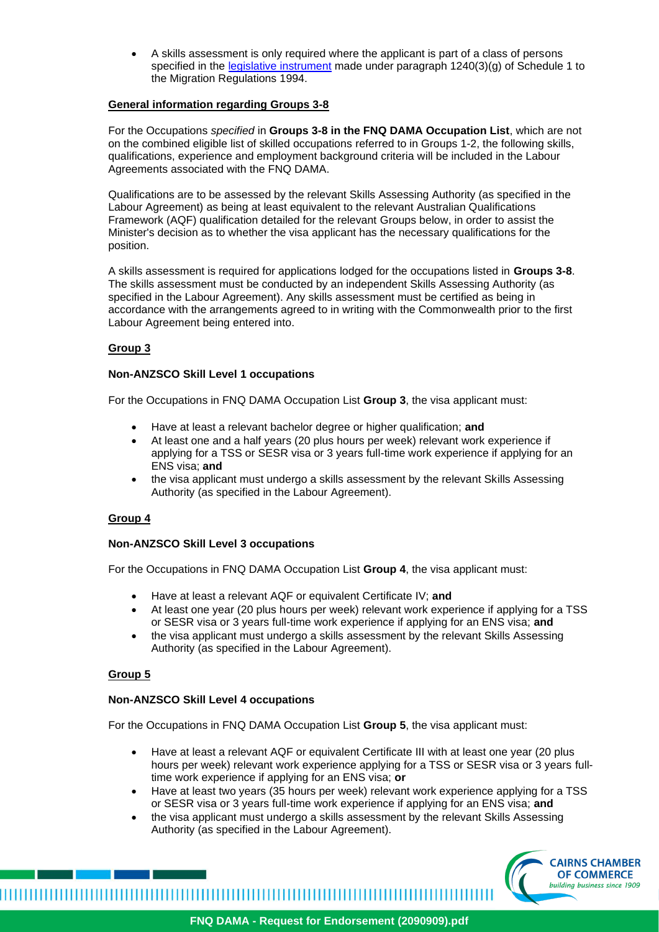• A skills assessment is only required where the applicant is part of a class of persons specified in the *legislative instrument* made under paragraph 1240(3)(g) of Schedule 1 to the Migration Regulations 1994.

## **General information regarding Groups 3-8**

For the Occupations *specified* in **Groups 3-8 in the FNQ DAMA Occupation List**, which are not on the combined eligible list of skilled occupations referred to in Groups 1-2, the following skills, qualifications, experience and employment background criteria will be included in the Labour Agreements associated with the FNQ DAMA.

Qualifications are to be assessed by the relevant Skills Assessing Authority (as specified in the Labour Agreement) as being at least equivalent to the relevant Australian Qualifications Framework (AQF) qualification detailed for the relevant Groups below, in order to assist the Minister's decision as to whether the visa applicant has the necessary qualifications for the position.

A skills assessment is required for applications lodged for the occupations listed in **Groups 3-8**. The skills assessment must be conducted by an independent Skills Assessing Authority (as specified in the Labour Agreement). Any skills assessment must be certified as being in accordance with the arrangements agreed to in writing with the Commonwealth prior to the first Labour Agreement being entered into.

## **Group 3**

## **Non-ANZSCO Skill Level 1 occupations**

For the Occupations in FNQ DAMA Occupation List **Group 3**, the visa applicant must:

- Have at least a relevant bachelor degree or higher qualification; **and**
- At least one and a half years (20 plus hours per week) relevant work experience if applying for a TSS or SESR visa or 3 years full-time work experience if applying for an ENS visa; **and**
- the visa applicant must undergo a skills assessment by the relevant Skills Assessing Authority (as specified in the Labour Agreement).

## **Group 4**

## **Non-ANZSCO Skill Level 3 occupations**

For the Occupations in FNQ DAMA Occupation List **Group 4**, the visa applicant must:

- Have at least a relevant AQF or equivalent Certificate IV; **and**
- At least one year (20 plus hours per week) relevant work experience if applying for a TSS or SESR visa or 3 years full-time work experience if applying for an ENS visa; **and**
- the visa applicant must undergo a skills assessment by the relevant Skills Assessing Authority (as specified in the Labour Agreement).

## **Group 5**

## **Non-ANZSCO Skill Level 4 occupations**

For the Occupations in FNQ DAMA Occupation List **Group 5**, the visa applicant must:

- Have at least a relevant AQF or equivalent Certificate III with at least one year (20 plus hours per week) relevant work experience applying for a TSS or SESR visa or 3 years fulltime work experience if applying for an ENS visa; **or**
- Have at least two years (35 hours per week) relevant work experience applying for a TSS or SESR visa or 3 years full-time work experience if applying for an ENS visa; **and**
- the visa applicant must undergo a skills assessment by the relevant Skills Assessing Authority (as specified in the Labour Agreement).

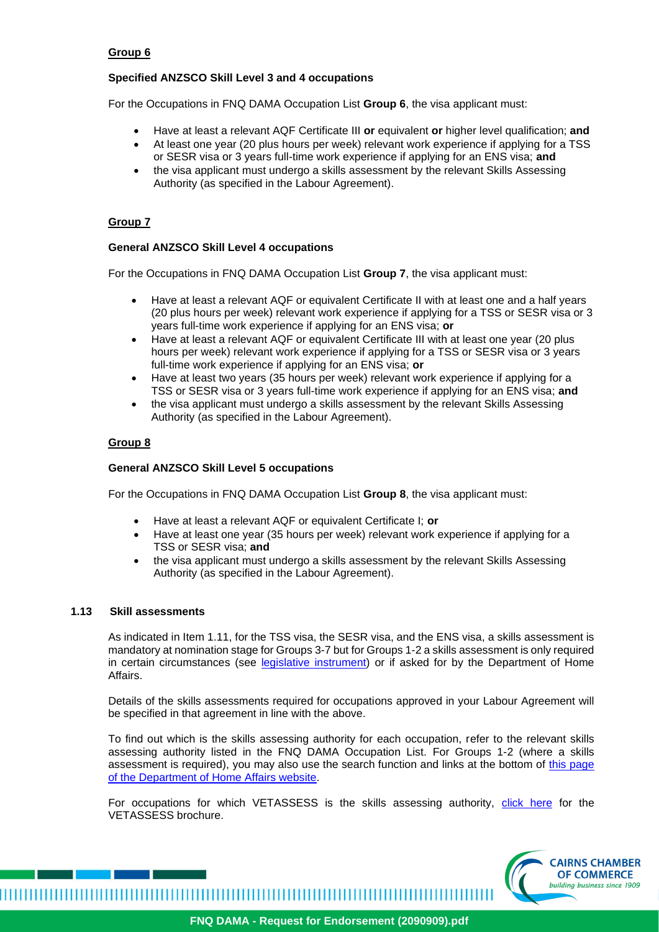## **Group 6**

## **Specified ANZSCO Skill Level 3 and 4 occupations**

For the Occupations in FNQ DAMA Occupation List **Group 6**, the visa applicant must:

- Have at least a relevant AQF Certificate III **or** equivalent **or** higher level qualification; **and**
- At least one year (20 plus hours per week) relevant work experience if applying for a TSS or SESR visa or 3 years full-time work experience if applying for an ENS visa; **and**
- the visa applicant must undergo a skills assessment by the relevant Skills Assessing Authority (as specified in the Labour Agreement).

## **Group 7**

## **General ANZSCO Skill Level 4 occupations**

For the Occupations in FNQ DAMA Occupation List **Group 7**, the visa applicant must:

- Have at least a relevant AQF or equivalent Certificate II with at least one and a half years (20 plus hours per week) relevant work experience if applying for a TSS or SESR visa or 3 years full-time work experience if applying for an ENS visa; **or**
- Have at least a relevant AQF or equivalent Certificate III with at least one year (20 plus hours per week) relevant work experience if applying for a TSS or SESR visa or 3 years full-time work experience if applying for an ENS visa; **or**
- Have at least two years (35 hours per week) relevant work experience if applying for a TSS or SESR visa or 3 years full-time work experience if applying for an ENS visa; **and**
- the visa applicant must undergo a skills assessment by the relevant Skills Assessing Authority (as specified in the Labour Agreement).

#### **Group 8**

#### **General ANZSCO Skill Level 5 occupations**

For the Occupations in FNQ DAMA Occupation List **Group 8**, the visa applicant must:

- Have at least a relevant AQF or equivalent Certificate I; **or**
- Have at least one year (35 hours per week) relevant work experience if applying for a TSS or SESR visa; **and**
- the visa applicant must undergo a skills assessment by the relevant Skills Assessing Authority (as specified in the Labour Agreement).

#### **1.13 Skill assessments**

As indicated in Item 1.11, for the TSS visa, the SESR visa, and the ENS visa, a skills assessment is mandatory at nomination stage for Groups 3-7 but for Groups 1-2 a skills assessment is only required in certain circumstances (see [legislative instrument\)](https://www.legislation.gov.au/Details/F2018L00294) or if asked for by the Department of Home Affairs.

Details of the skills assessments required for occupations approved in your Labour Agreement will be specified in that agreement in line with the above.

To find out which is the skills assessing authority for each occupation, refer to the relevant skills assessing authority listed in the FNQ DAMA Occupation List. For Groups 1-2 (where a skills assessment is required), you may also use the search function and links at the bottom of [this page](https://immi.homeaffairs.gov.au/visas/working-in-australia/skill-occupation-list)  [of the Department of Home Affairs website.](https://immi.homeaffairs.gov.au/visas/working-in-australia/skill-occupation-list)

For occupations for which VETASSESS is the skills assessing authority, [click here](https://www.vetassess.com.au/portals/0/downloads/dama/Queensland-DAMA_Occupation_List_and_FAQs_booklet_brochure.pdf) for the VETASSESS brochure.